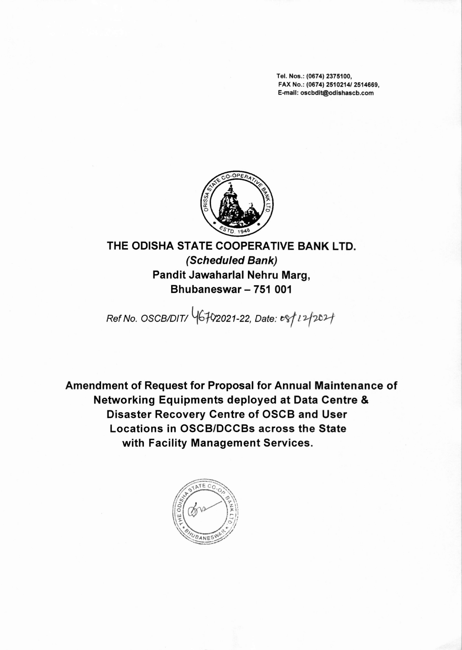Tel. Nos.: (0674) 2375100, FAX No.: (0674) *2510214/2514669,* E-mail: oscbdit@odishascb.com



**THE ODISHA STATE COOPERATIVE BANK LTD.** *(Scheduled Bank)* **Pandit Jawaharlal Nehru Marg, Bhubaneswar - 751 001**

*Ref No. OSCBIDITI Yb'fC/2021-22, Date: <sup>~</sup> <sup>l</sup> '17-0'1*

**Amendment of Request for Proposal for Annual Maintenance of Networking Equipments deployed at Data Centre & Disaster Recovery Centre of OSCB and User Locations in OSCB/DCCBs across the State with Facility Management Services.**